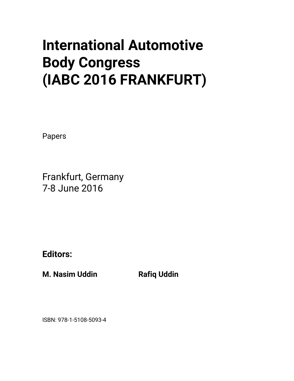## **International Automotive Body Congress (IABC 2016 FRANKFURT)**

Papers

Frankfurt, Germany 7-8 June 2016

**Editors:** 

**M. Nasim Uddin Communist Rafiq Uddin** 

ISBN: 978-1-5108-5093-4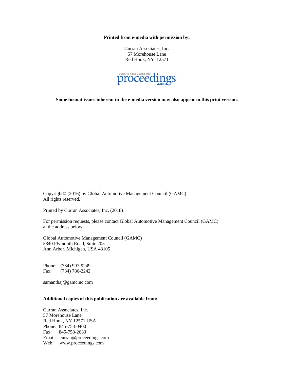**Printed from e-media with permission by:** 

Curran Associates, Inc. 57 Morehouse Lane Red Hook, NY 12571



**Some format issues inherent in the e-media version may also appear in this print version.** 

Copyright© (2016) by Global Automotive Management Council (GAMC) All rights reserved.

Printed by Curran Associates, Inc. (2018)

For permission requests, please contact Global Automotive Management Council (GAMC) at the address below.

Global Automotive Management Council (GAMC) 5340 Plymouth Road, Suite 205 Ann Arbor, Michigan, USA 48105

Phone: (734) 997-9249 Fax: (734) 786-2242

samanthaj@gamcinc.com

## **Additional copies of this publication are available from:**

Curran Associates, Inc. 57 Morehouse Lane Red Hook, NY 12571 USA Phone: 845-758-0400 Fax: 845-758-2633 Email: curran@proceedings.com Web: www.proceedings.com